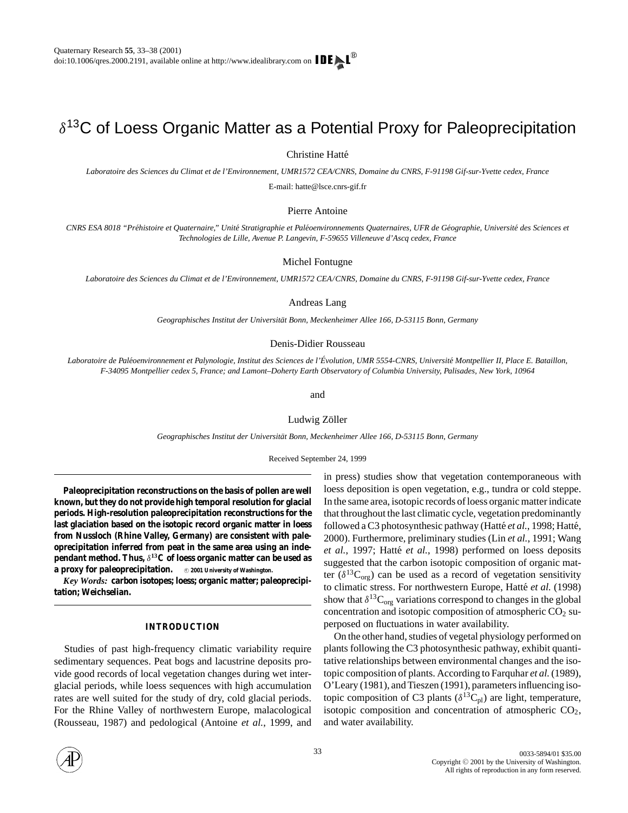# $\delta^{13}$ C of Loess Organic Matter as a Potential Proxy for Paleoprecipitation

Christine Hatté

*Laboratoire des Sciences du Climat et de l'Environnement, UMR1572 CEA/CNRS, Domaine du CNRS, F-91198 Gif-sur-Yvette cedex, France*

E-mail: hatte@lsce.cnrs-gif.fr

#### Pierre Antoine

CNRS ESA 8018 "Préhistoire et Quaternaire," Unité Stratigraphie et Paléoenvironnements Quaternaires, UFR de Géographie, Université des Sciences et *Technologies de Lille, Avenue P. Langevin, F-59655 Villeneuve d'Ascq cedex, France*

Michel Fontugne

*Laboratoire des Sciences du Climat et de l'Environnement, UMR1572 CEA/CNRS, Domaine du CNRS, F-91198 Gif-sur-Yvette cedex, France*

Andreas Lang

*Geographisches Institut der Universitat Bonn, Meckenheimer Allee 166, D-53115 Bonn, Germany ¨*

## Denis-Didier Rousseau

*Laboratoire de Paleoenvironnement et Palynologie, Institut des Sciences de l' ´ Evolution, UMR 5554-CNRS, Universit ´ e Montpellier II, Place E. Bataillon, ´ F-34095 Montpellier cedex 5, France; and Lamont–Doherty Earth Observatory of Columbia University, Palisades, New York, 10964*

and

#### Ludwig Zöller

*Geographisches Institut der Universitat Bonn, Meckenheimer Allee 166, D-53115 Bonn, Germany ¨*

Received September 24, 1999

**Paleoprecipitation reconstructions on the basis of pollen are well known, but they do not provide high temporal resolution for glacial periods. High-resolution paleoprecipitation reconstructions for the last glaciation based on the isotopic record organic matter in loess from Nussloch (Rhine Valley, Germany) are consistent with paleoprecipitation inferred from peat in the same area using an independant method. Thus,**  $\delta^{13}$ C of loess organic matter can be used as **a proxy for paleoprecipitation.** © 2001 University of Washington.

*Key Words:* **carbon isotopes; loess; organic matter; paleoprecipitation; Weichselian.**

# **INTRODUCTION**

Studies of past high-frequency climatic variability require sedimentary sequences. Peat bogs and lacustrine deposits provide good records of local vegetation changes during wet interglacial periods, while loess sequences with high accumulation rates are well suited for the study of dry, cold glacial periods. For the Rhine Valley of northwestern Europe, malacological (Rousseau, 1987) and pedological (Antoine *et al.*, 1999, and in press) studies show that vegetation contemporaneous with loess deposition is open vegetation, e.g., tundra or cold steppe. In the same area, isotopic records of loess organic matter indicate that throughout the last climatic cycle, vegetation predominantly followed a C3 photosynthesic pathway (Hatté et al., 1998; Hatté, 2000). Furthermore, preliminary studies (Lin *et al.*, 1991; Wang *et al.*, 1997; Hatté *et al.*, 1998) performed on loess deposits suggested that the carbon isotopic composition of organic matter ( $\delta^{13}C_{\text{org}}$ ) can be used as a record of vegetation sensitivity to climatic stress. For northwestern Europe, Hatté et al. (1998) show that  $\delta^{13}C_{org}$  variations correspond to changes in the global concentration and isotopic composition of atmospheric  $CO<sub>2</sub>$  superposed on fluctuations in water availability.

On the other hand, studies of vegetal physiology performed on plants following the C3 photosynthesic pathway, exhibit quantitative relationships between environmental changes and the isotopic composition of plants. According to Farquhar *et al.* (1989), O'Leary (1981), and Tieszen (1991), parameters influencing isotopic composition of C3 plants ( $\delta^{13}C_{pl}$ ) are light, temperature, isotopic composition and concentration of atmospheric  $CO<sub>2</sub>$ , and water availability.

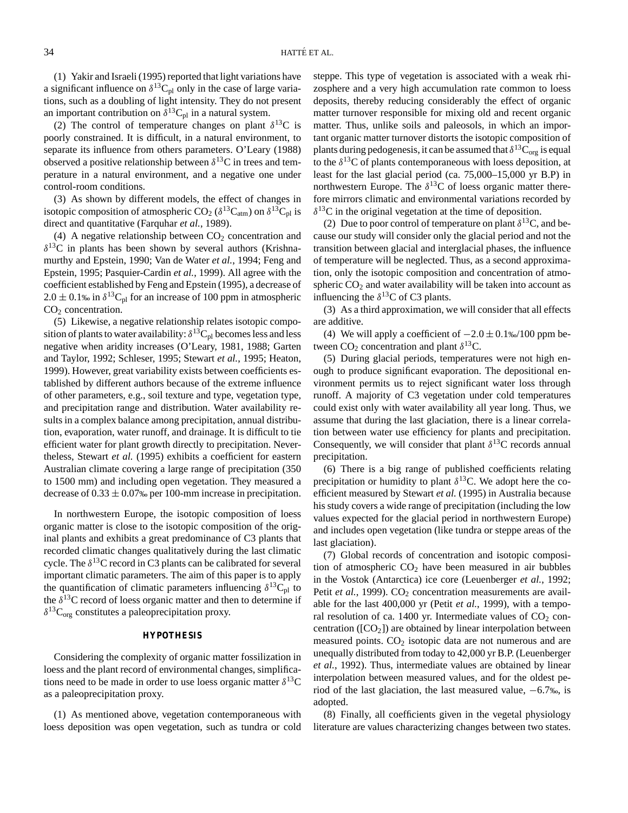(1) Yakir and Israeli (1995) reported that light variations have a significant influence on  $\delta^{13}C_{pl}$  only in the case of large variations, such as a doubling of light intensity. They do not present an important contribution on  $\delta^{13}C_{pl}$  in a natural system.

(2) The control of temperature changes on plant  $\delta^{13}$ C is poorly constrained. It is difficult, in a natural environment, to separate its influence from others parameters. O'Leary (1988) observed a positive relationship between  $\delta^{13}$ C in trees and temperature in a natural environment, and a negative one under control-room conditions.

(3) As shown by different models, the effect of changes in isotopic composition of atmospheric CO<sub>2</sub> ( $\delta^{13}C_{atm}$ ) on  $\delta^{13}C_{pl}$  is direct and quantitative (Farquhar *et al.*, 1989).

(4) A negative relationship between  $CO<sub>2</sub>$  concentration and  $\delta^{13}$ C in plants has been shown by several authors (Krishnamurthy and Epstein, 1990; Van de Water *et al.*, 1994; Feng and Epstein, 1995; Pasquier-Cardin *et al.*, 1999). All agree with the coefficient established by Feng and Epstein (1995), a decrease of  $2.0 \pm 0.1$ ‰ in  $\delta^{13}C_{pl}$  for an increase of 100 ppm in atmospheric  $CO<sub>2</sub>$  concentration.

(5) Likewise, a negative relationship relates isotopic composition of plants to water availability:  $\delta^{13}C_{pl}$  becomes less and less negative when aridity increases (O'Leary, 1981, 1988; Garten and Taylor, 1992; Schleser, 1995; Stewart *et al.*, 1995; Heaton, 1999). However, great variability exists between coefficients established by different authors because of the extreme influence of other parameters, e.g., soil texture and type, vegetation type, and precipitation range and distribution. Water availability results in a complex balance among precipitation, annual distribution, evaporation, water runoff, and drainage. It is difficult to tie efficient water for plant growth directly to precipitation. Nevertheless, Stewart *et al.* (1995) exhibits a coefficient for eastern Australian climate covering a large range of precipitation (350 to 1500 mm) and including open vegetation. They measured a decrease of  $0.33 \pm 0.07$ % per 100-mm increase in precipitation.

In northwestern Europe, the isotopic composition of loess organic matter is close to the isotopic composition of the original plants and exhibits a great predominance of C3 plants that recorded climatic changes qualitatively during the last climatic cycle. The  $\delta^{13}$ C record in C3 plants can be calibrated for several important climatic parameters. The aim of this paper is to apply the quantification of climatic parameters influencing  $\delta^{13}C_{pl}$  to the  $\delta^{13}$ C record of loess organic matter and then to determine if  $\delta^{13}C_{org}$  constitutes a paleoprecipitation proxy.

## **HYPOTHESIS**

Considering the complexity of organic matter fossilization in loess and the plant record of environmental changes, simplifications need to be made in order to use loess organic matter  $\delta^{13}$ C as a paleoprecipitation proxy.

(1) As mentioned above, vegetation contemporaneous with loess deposition was open vegetation, such as tundra or cold steppe. This type of vegetation is associated with a weak rhizosphere and a very high accumulation rate common to loess deposits, thereby reducing considerably the effect of organic matter turnover responsible for mixing old and recent organic matter. Thus, unlike soils and paleosols, in which an important organic matter turnover distorts the isotopic composition of plants during pedogenesis, it can be assumed that  $\delta^{13}C_{\text{ore}}$  is equal to the  $\delta^{13}$ C of plants contemporaneous with loess deposition, at least for the last glacial period (ca. 75,000–15,000 yr B.P) in northwestern Europe. The  $\delta^{13}$ C of loess organic matter therefore mirrors climatic and environmental variations recorded by  $\delta^{13}$ C in the original vegetation at the time of deposition.

(2) Due to poor control of temperature on plant  $\delta^{13}C$ , and because our study will consider only the glacial period and not the transition between glacial and interglacial phases, the influence of temperature will be neglected. Thus, as a second approximation, only the isotopic composition and concentration of atmospheric  $CO<sub>2</sub>$  and water availability will be taken into account as influencing the  $\delta^{13}$ C of C3 plants.

(3) As a third approximation, we will consider that all effects are additive.

(4) We will apply a coefficient of  $-2.0 \pm 0.1\frac{1}{6}$  ppm between  $CO_2$  concentration and plant  $\delta^{13}C$ .

(5) During glacial periods, temperatures were not high enough to produce significant evaporation. The depositional environment permits us to reject significant water loss through runoff. A majority of C3 vegetation under cold temperatures could exist only with water availability all year long. Thus, we assume that during the last glaciation, there is a linear correlation between water use efficiency for plants and precipitation. Consequently, we will consider that plant  $\delta^{13}$ C records annual precipitation.

(6) There is a big range of published coefficients relating precipitation or humidity to plant  $\delta^{13}$ C. We adopt here the coefficient measured by Stewart *et al.* (1995) in Australia because his study covers a wide range of precipitation (including the low values expected for the glacial period in northwestern Europe) and includes open vegetation (like tundra or steppe areas of the last glaciation).

(7) Global records of concentration and isotopic composition of atmospheric  $CO<sub>2</sub>$  have been measured in air bubbles in the Vostok (Antarctica) ice core (Leuenberger *et al.*, 1992; Petit et al., 1999). CO<sub>2</sub> concentration measurements are available for the last 400,000 yr (Petit *et al.*, 1999), with a temporal resolution of ca. 1400 yr. Intermediate values of  $CO<sub>2</sub>$  concentration ( $[CO<sub>2</sub>]$ ) are obtained by linear interpolation between measured points.  $CO<sub>2</sub>$  isotopic data are not numerous and are unequally distributed from today to 42,000 yr B.P. (Leuenberger *et al.*, 1992). Thus, intermediate values are obtained by linear interpolation between measured values, and for the oldest period of the last glaciation, the last measured value, −6.7‰, is adopted.

(8) Finally, all coefficients given in the vegetal physiology literature are values characterizing changes between two states.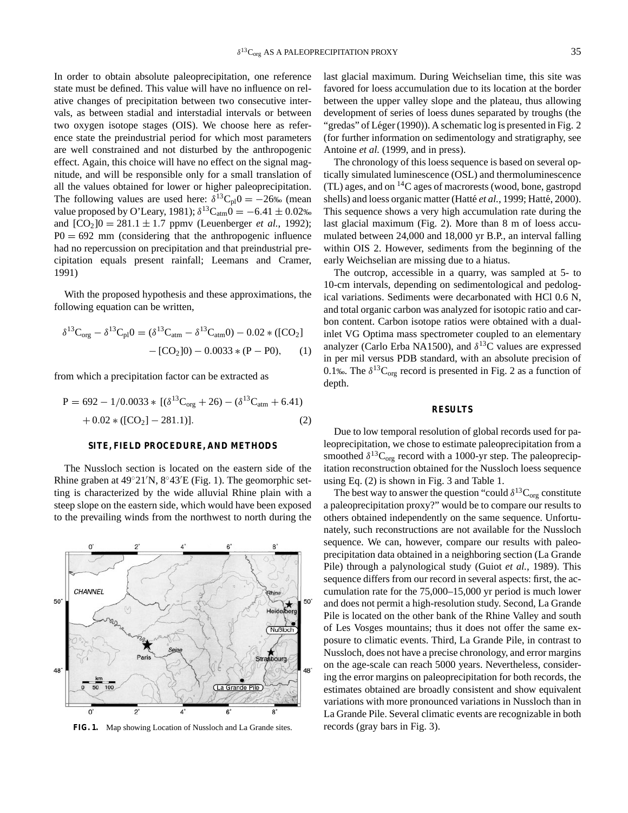In order to obtain absolute paleoprecipitation, one reference state must be defined. This value will have no influence on relative changes of precipitation between two consecutive intervals, as between stadial and interstadial intervals or between two oxygen isotope stages (OIS). We choose here as reference state the preindustrial period for which most parameters are well constrained and not disturbed by the anthropogenic effect. Again, this choice will have no effect on the signal magnitude, and will be responsible only for a small translation of all the values obtained for lower or higher paleoprecipitation. The following values are used here:  $\delta^{13}C_{pl}0 = -26$ % (mean value proposed by O'Leary, 1981);  $\delta^{13}C_{atm}0 = -6.41 \pm 0.02$ ‰ and  $[CO_2]0 = 281.1 \pm 1.7$  ppmv (Leuenberger *et al.*, 1992);  $P0 = 692$  mm (considering that the anthropogenic influence had no repercussion on precipitation and that preindustrial precipitation equals present rainfall; Leemans and Cramer, 1991)

With the proposed hypothesis and these approximations, the following equation can be written,

$$
\delta^{13}C_{org} - \delta^{13}C_{pl}0 = (\delta^{13}C_{atm} - \delta^{13}C_{atm}0) - 0.02 * ([CO2]- [CO2]0) - 0.0033 * (P - P0),
$$
 (1)

from which a precipitation factor can be extracted as

$$
P = 692 - 1/0.0033 * [(\delta^{13}C_{org} + 26) - (\delta^{13}C_{atm} + 6.41) + 0.02 * ([CO2] - 281.1)].
$$
\n(2)

#### **SITE, FIELD PROCEDURE, AND METHODS**

The Nussloch section is located on the eastern side of the Rhine graben at  $49^{\circ}21'N$ ,  $8^{\circ}43'E$  (Fig. 1). The geomorphic setting is characterized by the wide alluvial Rhine plain with a steep slope on the eastern side, which would have been exposed to the prevailing winds from the northwest to north during the



**FIG. 1.** Map showing Location of Nussloch and La Grande sites.

last glacial maximum. During Weichselian time, this site was favored for loess accumulation due to its location at the border between the upper valley slope and the plateau, thus allowing development of series of loess dunes separated by troughs (the "gredas" of Léger  $(1990)$ ). A schematic log is presented in Fig. 2 (for further information on sedimentology and stratigraphy, see Antoine *et al.* (1999, and in press).

The chronology of this loess sequence is based on several optically simulated luminescence (OSL) and thermoluminescence (TL) ages, and on  ${}^{14}C$  ages of macrorests (wood, bone, gastropd shells) and loess organic matter (Hatté *et al.*, 1999; Hatté, 2000). This sequence shows a very high accumulation rate during the last glacial maximum (Fig. 2). More than 8 m of loess accumulated between 24,000 and 18,000 yr B.P., an interval falling within OIS 2. However, sediments from the beginning of the early Weichselian are missing due to a hiatus.

The outcrop, accessible in a quarry, was sampled at 5- to 10-cm intervals, depending on sedimentological and pedological variations. Sediments were decarbonated with HCl 0.6 N, and total organic carbon was analyzed for isotopic ratio and carbon content. Carbon isotope ratios were obtained with a dualinlet VG Optima mass spectrometer coupled to an elementary analyzer (Carlo Erba NA1500), and  $\delta^{13}$ C values are expressed in per mil versus PDB standard, with an absolute precision of 0.1‰. The  $\delta^{13}C_{org}$  record is presented in Fig. 2 as a function of depth.

#### **RESULTS**

Due to low temporal resolution of global records used for paleoprecipitation, we chose to estimate paleoprecipitation from a smoothed  $\delta^{13}C_{\text{ore}}$  record with a 1000-yr step. The paleoprecipitation reconstruction obtained for the Nussloch loess sequence using Eq. (2) is shown in Fig. 3 and Table 1.

The best way to answer the question "could  $\delta^{13}C_{\text{org}}$  constitute a paleoprecipitation proxy?" would be to compare our results to others obtained independently on the same sequence. Unfortunately, such reconstructions are not available for the Nussloch sequence. We can, however, compare our results with paleoprecipitation data obtained in a neighboring section (La Grande Pile) through a palynological study (Guiot *et al.*, 1989). This sequence differs from our record in several aspects: first, the accumulation rate for the 75,000–15,000 yr period is much lower and does not permit a high-resolution study. Second, La Grande Pile is located on the other bank of the Rhine Valley and south of Les Vosges mountains; thus it does not offer the same exposure to climatic events. Third, La Grande Pile, in contrast to Nussloch, does not have a precise chronology, and error margins on the age-scale can reach 5000 years. Nevertheless, considering the error margins on paleoprecipitation for both records, the estimates obtained are broadly consistent and show equivalent variations with more pronounced variations in Nussloch than in La Grande Pile. Several climatic events are recognizable in both records (gray bars in Fig. 3).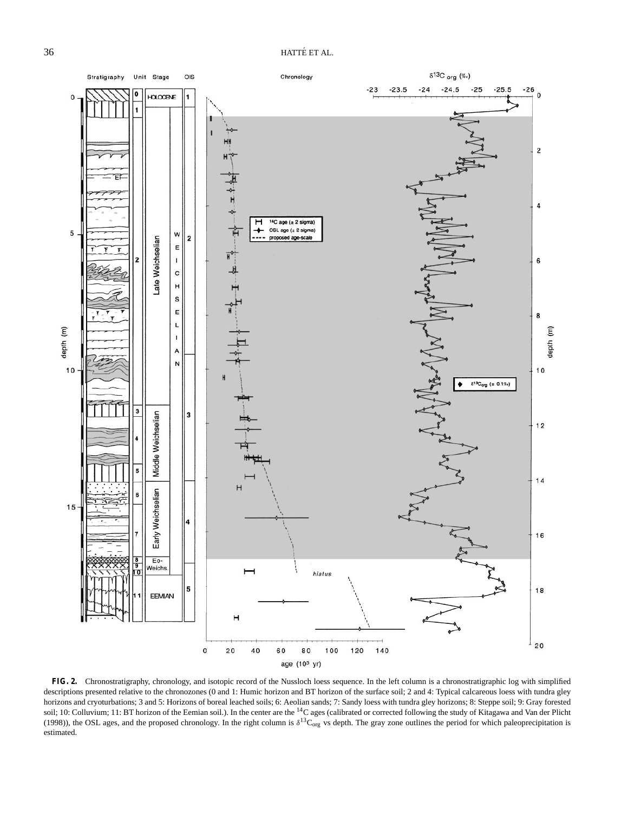

**FIG. 2.** Chronostratigraphy, chronology, and isotopic record of the Nussloch loess sequence. In the left column is a chronostratigraphic log with simplified descriptions presented relative to the chronozones (0 and 1: Humic horizon and BT horizon of the surface soil; 2 and 4: Typical calcareous loess with tundra gley horizons and cryoturbations; 3 and 5: Horizons of boreal leached soils; 6: Aeolian sands; 7: Sandy loess with tundra gley horizons; 8: Steppe soil; 9: Gray forested soil; 10: Colluvium; 11: BT horizon of the Eemian soil.). In the center are the <sup>14</sup>C ages (calibrated or corrected following the study of Kitagawa and Van der Plicht (1998)), the OSL ages, and the proposed chronology. In the right column is  $\delta^{13}C_{org}$  vs depth. The gray zone outlines the period for which paleoprecipitation is estimated.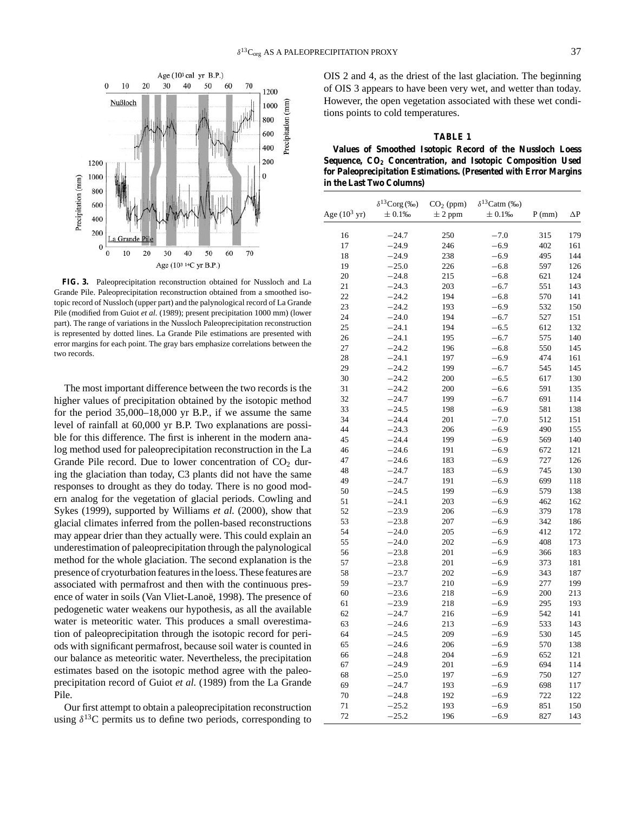

**FIG. 3.** Paleoprecipitation reconstruction obtained for Nussloch and La Grande Pile. Paleoprecipitation reconstruction obtained from a smoothed isotopic record of Nussloch (upper part) and the palynological record of La Grande Pile (modified from Guiot *et al.* (1989); present precipitation 1000 mm) (lower part). The range of variations in the Nussloch Paleoprecipitation reconstruction is represented by dotted lines. La Grande Pile estimations are presented with error margins for each point. The gray bars emphasize correlations between the two records.

The most important difference between the two records is the higher values of precipitation obtained by the isotopic method for the period 35,000–18,000 yr B.P., if we assume the same level of rainfall at 60,000 yr B.P. Two explanations are possible for this difference. The first is inherent in the modern analog method used for paleoprecipitation reconstruction in the La Grande Pile record. Due to lower concentration of  $CO<sub>2</sub>$  during the glaciation than today, C3 plants did not have the same responses to drought as they do today. There is no good modern analog for the vegetation of glacial periods. Cowling and Sykes (1999), supported by Williams *et al.* (2000), show that glacial climates inferred from the pollen-based reconstructions may appear drier than they actually were. This could explain an underestimation of paleoprecipitation through the palynological method for the whole glaciation. The second explanation is the presence of cryoturbation features in the loess. These features are associated with permafrost and then with the continuous presence of water in soils (Van Vliet-Lanoë, 1998). The presence of pedogenetic water weakens our hypothesis, as all the available water is meteoritic water. This produces a small overestimation of paleoprecipitation through the isotopic record for periods with significant permafrost, because soil water is counted in our balance as meteoritic water. Nevertheless, the precipitation estimates based on the isotopic method agree with the paleoprecipitation record of Guiot *et al.* (1989) from the La Grande Pile.

Our first attempt to obtain a paleoprecipitation reconstruction using  $\delta^{13}$ C permits us to define two periods, corresponding to OIS 2 and 4, as the driest of the last glaciation. The beginning of OIS 3 appears to have been very wet, and wetter than today. However, the open vegetation associated with these wet conditions points to cold temperatures.

# **TABLE 1**

**Values of Smoothed Isotopic Record of the Nussloch Loess** Sequence,  $CO<sub>2</sub>$  Concentration, and Isotopic Composition Used **for Paleoprecipitation Estimations. (Presented with Error Margins in the Last Two Columns)**

|                         | $\delta^{13}$ Corg (‰) | $CO2$ (ppm) | $\delta^{13}$ Catm (‰) |          |            |
|-------------------------|------------------------|-------------|------------------------|----------|------------|
| Age $(10^3 \text{ yr})$ | ± 0.1%                 | $\pm$ 2 ppm | ± 0.1%                 | $P$ (mm) | $\Delta P$ |
|                         |                        |             |                        |          |            |
| 16                      | $-24.7$                | 250         | $-7.0$                 | 315      | 179        |
| 17                      | $-24.9$                | 246         | $-6.9$                 | 402      | 161        |
| 18                      | $-24.9$                | 238         | $-6.9$                 | 495      | 144        |
| 19                      | $-25.0$                | 226         | $-6.8$                 | 597      | 126        |
| 20                      | $-24.8$                | 215         | $-6.8$                 | 621      | 124        |
| 21                      | $-24.3$                | 203         | $-6.7$                 | 551      | 143        |
| 22                      | $-24.2$                | 194         | $-6.8$                 | 570      | 141        |
| 23                      | $-24.2$                | 193         | $-6.9$                 | 532      | 150        |
| 24                      | $-24.0$                | 194         | $-6.7$                 | 527      | 151        |
| 25                      | $-24.1$                | 194         | $-6.5$                 | 612      | 132        |
| 26                      | $-24.1$                | 195         | $-6.7$                 | 575      | 140        |
| 27                      | $-24.2$                | 196         | $-6.8$                 | 550      | 145        |
| 28                      | $-24.1$                | 197         | $-6.9$                 | 474      | 161        |
| 29                      | $-24.2$                | 199         | $-6.7$                 | 545      | 145        |
| 30                      | $-24.2$                | 200         | $-6.5$                 | 617      | 130        |
| 31                      | $-24.2$                | 200         | $-6.6$                 | 591      | 135        |
| 32                      | $-24.7$                | 199         | $-6.7$                 | 691      | 114        |
| 33                      | $-24.5$                | 198         | $-6.9$                 | 581      | 138        |
| 34                      | $-24.4$                | 201         | $-7.0$                 | 512      | 151        |
| 44                      | $-24.3$                | 206         | $-6.9$                 | 490      | 155        |
| 45                      | $-24.4$                | 199         | $-6.9$                 | 569      | 140        |
| 46                      | $-24.6$                | 191         | $-6.9$                 | 672      | 121        |
| 47                      | $-24.6$                | 183         | $-6.9$                 | 727      | 126        |
| 48                      | $-24.7$                | 183         | $-6.9$                 | 745      | 130        |
| 49                      | $-24.7$                | 191         | $-6.9$                 | 699      | 118        |
| 50                      | $-24.5$                | 199         | $-6.9$                 | 579      | 138        |
| 51                      | $-24.1$                | 203         | $-6.9$                 | 462      | 162        |
| 52                      | $-23.9$                | 206         | $-6.9$                 | 379      | 178        |
| 53                      | $-23.8$                | 207         | $-6.9$                 | 342      | 186        |
| 54                      | $-24.0$                | 205         | $-6.9$                 | 412      | 172        |
| 55                      | $-24.0$                | 202         | $-6.9$                 | 408      | 173        |
| 56                      | $-23.8$                | 201         | $-6.9$                 | 366      | 183        |
| 57                      | $-23.8$                | 201         | $-6.9$                 | 373      | 181        |
| 58                      | $-23.7$                | 202         | $-6.9$                 | 343      | 187        |
| 59                      | $-23.7$                | 210         | $-6.9$                 | 277      | 199        |
| 60                      | $-23.6$                | 218         | $-6.9$                 | 200      | 213        |
| 61                      | $-23.9$                | 218         | $-6.9$                 | 295      | 193        |
| 62                      | $-24.7$                | 216         | $-6.9$                 | 542      | 141        |
| 63                      | $-24.6$                | 213         | $-6.9$                 | 533      | 143        |
| 64                      | $-24.5$                | 209         | $-6.9$                 | 530      | 145        |
| 65                      | $-24.6$                | 206         | $-6.9$                 | 570      | 138        |
| 66                      | $-24.8$                | 204         | $-6.9$                 | 652      | 121        |
| 67                      | $-24.9$                | 201         | $-6.9$                 | 694      | 114        |
| 68                      | $-25.0$                | 197         | $-6.9$                 | 750      | 127        |
| 69                      | $-24.7$                | 193         | $-6.9$                 | 698      | 117        |
| 70                      | $-24.8$                | 192         | $-6.9$                 | 722      | 122        |
| 71                      | $-25.2$                | 193         | $-6.9$                 | 851      | 150        |
| 72                      | $-25.2$                | 196         | $-6.9$                 | 827      | 143        |
|                         |                        |             |                        |          |            |